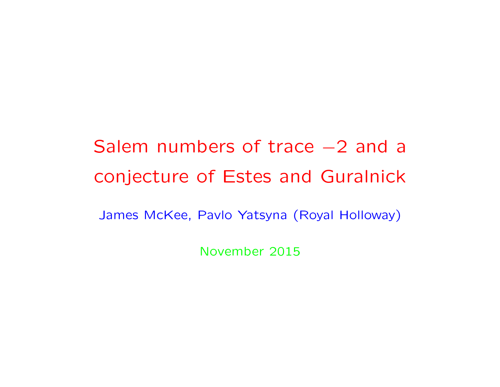# Salem numbers of trace −2 and a conjecture of Estes and Guralnick James McKee, Pavlo Yatsyna (Royal Holloway)

November 2015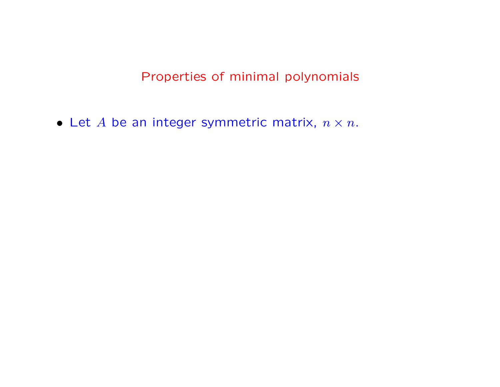• Let A be an integer symmetric matrix,  $n \times n$ .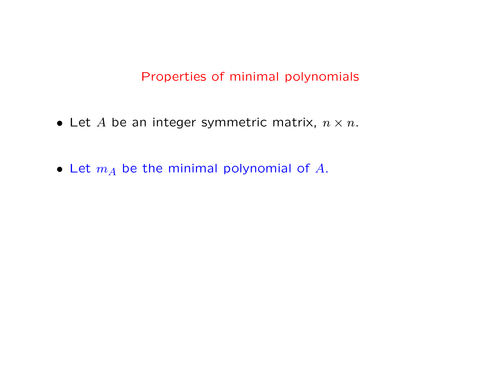- Let A be an integer symmetric matrix,  $n \times n$ .
- Let  $m_A$  be the minimal polynomial of A.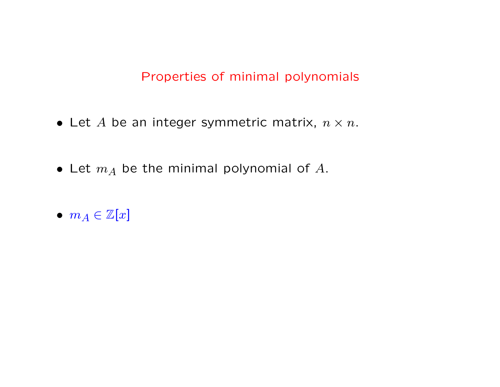- Let A be an integer symmetric matrix,  $n \times n$ .
- Let  $m_A$  be the minimal polynomial of A.
- $m_A \in \mathbb{Z}[x]$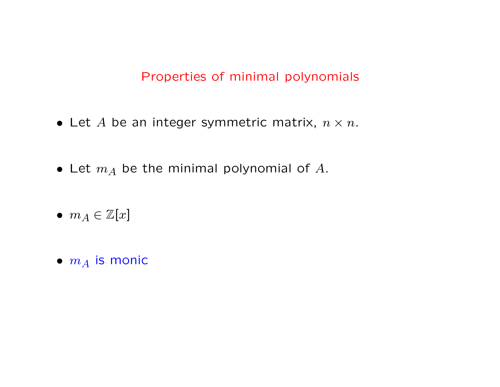- Let A be an integer symmetric matrix,  $n \times n$ .
- Let  $m_A$  be the minimal polynomial of A.
- $m_A \in \mathbb{Z}[x]$
- $\bullet$   $m_A$  is monic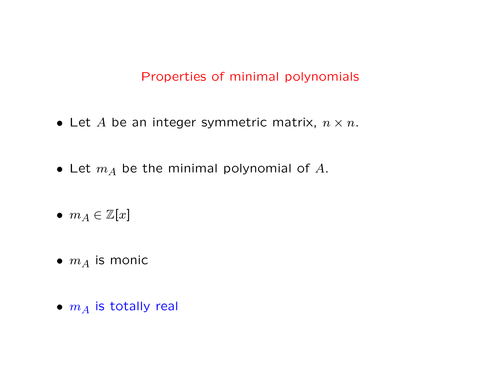- Let A be an integer symmetric matrix,  $n \times n$ .
- Let  $m_A$  be the minimal polynomial of A.
- $m_A \in \mathbb{Z}[x]$
- $\bullet$   $m_A$  is monic
- $m_A$  is totally real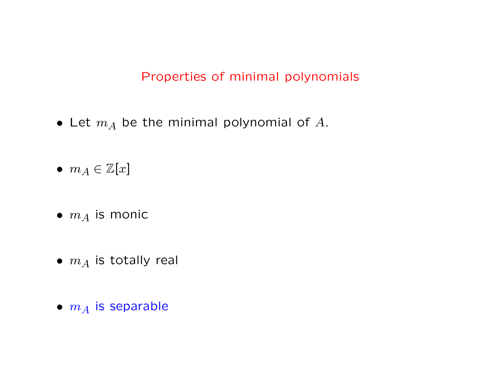- Let  $m_A$  be the minimal polynomial of A.
- $m_A \in \mathbb{Z}[x]$
- $\bullet$   $m_A$  is monic
- $m_A$  is totally real
- $m_A$  is separable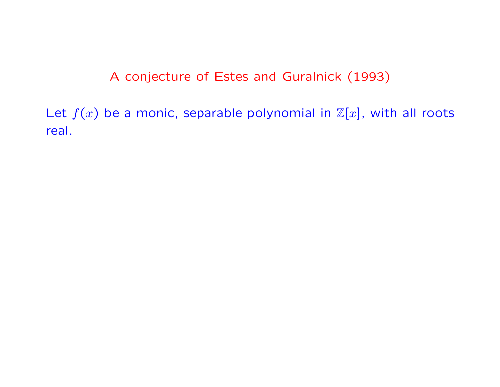Let  $f(x)$  be a monic, separable polynomial in  $\mathbb{Z}[x]$ , with all roots real.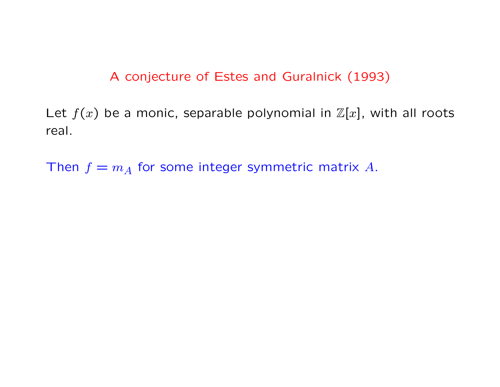Let  $f(x)$  be a monic, separable polynomial in  $\mathbb{Z}[x]$ , with all roots real.

Then  $f = m_A$  for some integer symmetric matrix A.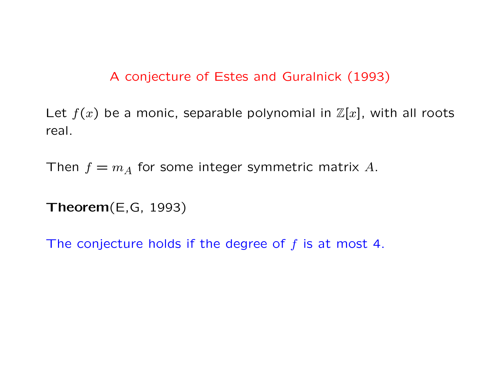Let  $f(x)$  be a monic, separable polynomial in  $\mathbb{Z}[x]$ , with all roots real.

Then  $f = m_A$  for some integer symmetric matrix A.

Theorem(E,G, 1993)

The conjecture holds if the degree of  $f$  is at most 4.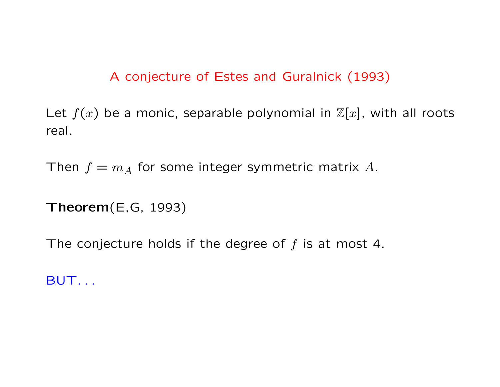Let  $f(x)$  be a monic, separable polynomial in  $\mathbb{Z}[x]$ , with all roots real.

Then  $f = m_A$  for some integer symmetric matrix A.

Theorem(E,G, 1993)

The conjecture holds if the degree of  $f$  is at most 4.

BUT. . .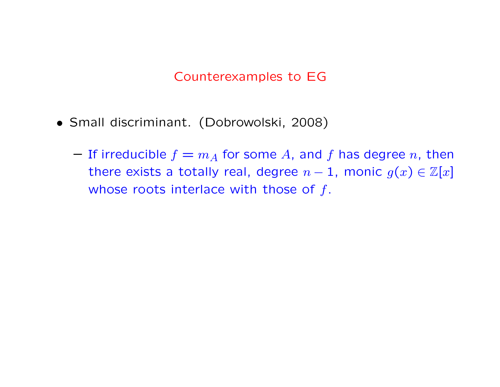- Small discriminant. (Dobrowolski, 2008)
	- If irreducible  $f = m_A$  for some A, and f has degree n, then there exists a totally real, degree  $n-1$ , monic  $g(x) \in \mathbb{Z}[x]$ whose roots interlace with those of  $f$ .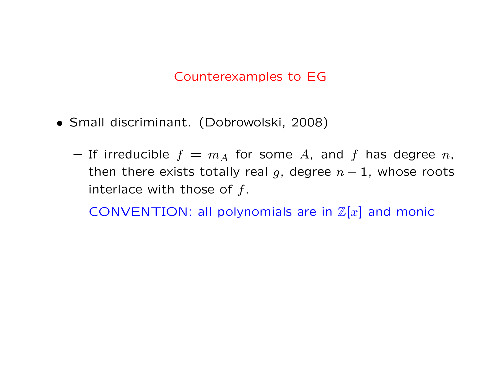- Small discriminant. (Dobrowolski, 2008)
	- If irreducible  $f = m_A$  for some A, and f has degree n, then there exists totally real g, degree  $n-1$ , whose roots interlace with those of  $f$ .

CONVENTION: all polynomials are in  $\mathbb{Z}[x]$  and monic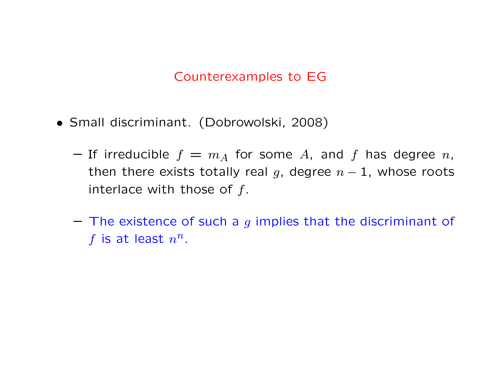- Small discriminant. (Dobrowolski, 2008)
	- If irreducible  $f = m_A$  for some A, and f has degree n, then there exists totally real g, degree  $n-1$ , whose roots interlace with those of  $f$ .
	- The existence of such a g implies that the discriminant of f is at least  $n^n$ .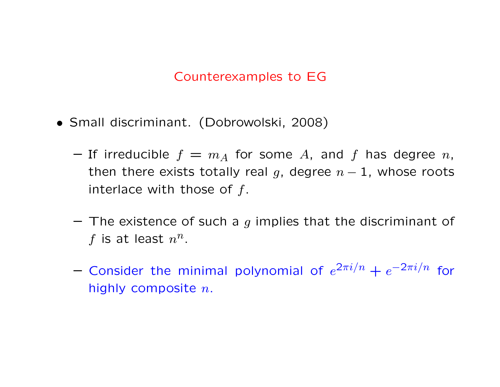- Small discriminant. (Dobrowolski, 2008)
	- If irreducible  $f = m_A$  for some A, and f has degree n, then there exists totally real g, degree  $n-1$ , whose roots interlace with those of  $f$ .
	- $-$  The existence of such a g implies that the discriminant of f is at least  $n^n$ .
	- Consider the minimal polynomial of  $e^{2\pi i/n} + e^{-2\pi i/n}$  for highly composite  $n$ .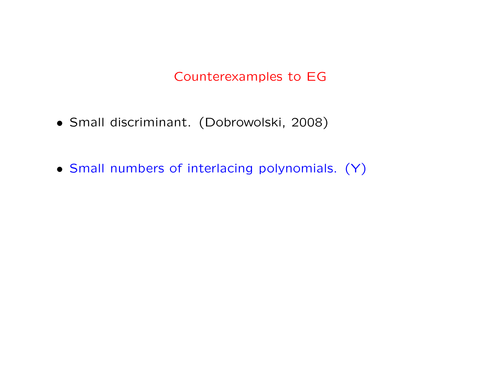- Small discriminant. (Dobrowolski, 2008)
- Small numbers of interlacing polynomials. (Y)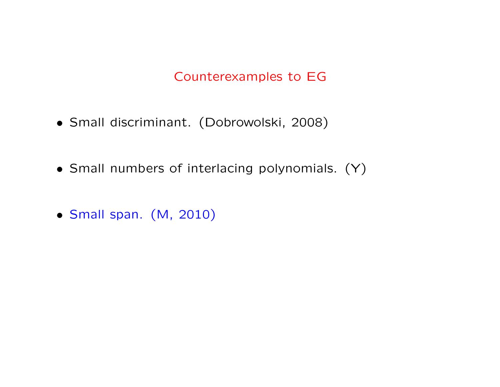- Small discriminant. (Dobrowolski, 2008)
- Small numbers of interlacing polynomials. (Y)
- Small span. (M, 2010)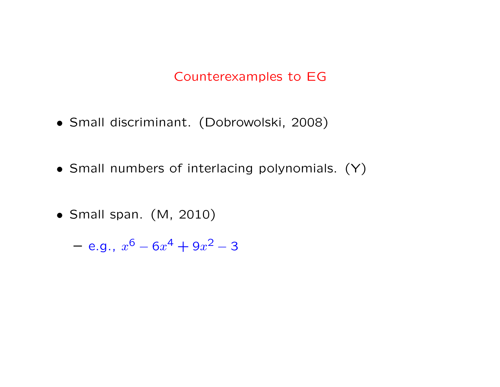- Small discriminant. (Dobrowolski, 2008)
- Small numbers of interlacing polynomials. (Y)
- Small span. (M, 2010)
	- $-$  e.g.,  $x^6 6x^4 + 9x^2 3$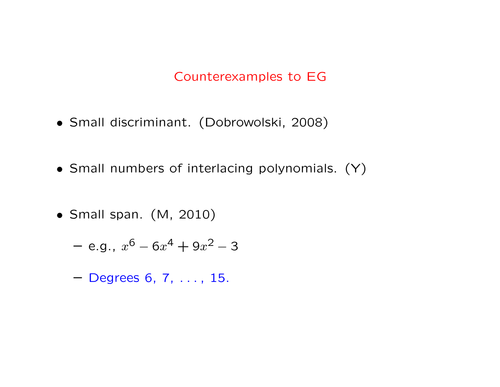- Small discriminant. (Dobrowolski, 2008)
- Small numbers of interlacing polynomials. (Y)
- Small span. (M, 2010)

$$
- e.g., x^6 - 6x^4 + 9x^2 - 3
$$

– Degrees 6, 7, . . . , 15.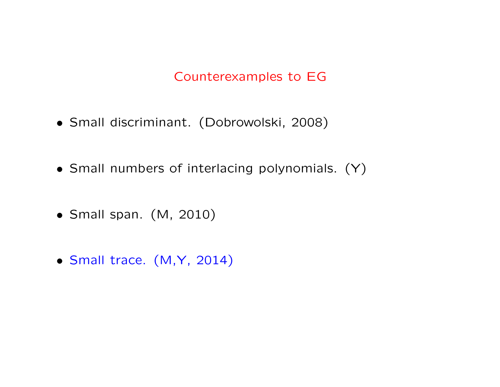- Small discriminant. (Dobrowolski, 2008)
- Small numbers of interlacing polynomials. (Y)
- Small span. (M, 2010)
- Small trace. (M,Y, 2014)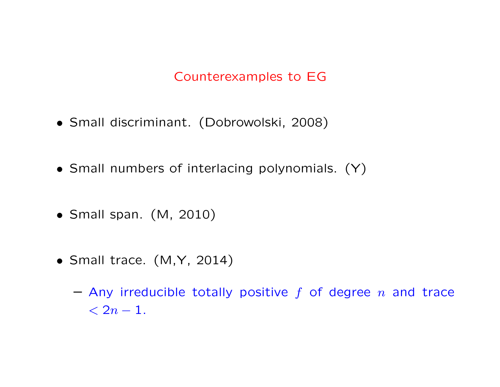- Small discriminant. (Dobrowolski, 2008)
- Small numbers of interlacing polynomials. (Y)
- Small span. (M, 2010)
- Small trace. (M,Y, 2014)
	- $-$  Any irreducible totally positive  $f$  of degree  $n$  and trace  $< 2n - 1$ .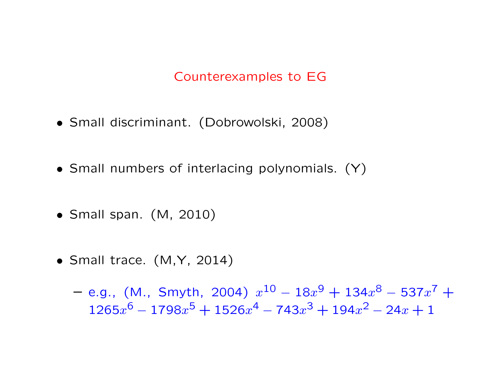- Small discriminant. (Dobrowolski, 2008)
- Small numbers of interlacing polynomials. (Y)
- Small span. (M, 2010)
- Small trace. (M,Y, 2014)
	- $-$  e.g., (M., Smyth, 2004)  $x^{10} 18x^9 + 134x^8 537x^7 +$  $1265x^6 - 1798x^5 + 1526x^4 - 743x^3 + 194x^2 - 24x + 1$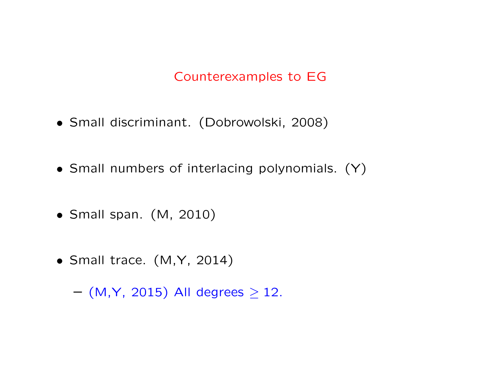- Small discriminant. (Dobrowolski, 2008)
- Small numbers of interlacing polynomials. (Y)
- Small span. (M, 2010)
- Small trace. (M,Y, 2014)

–  $(M,Y, 2015)$  All degrees  $\geq 12$ .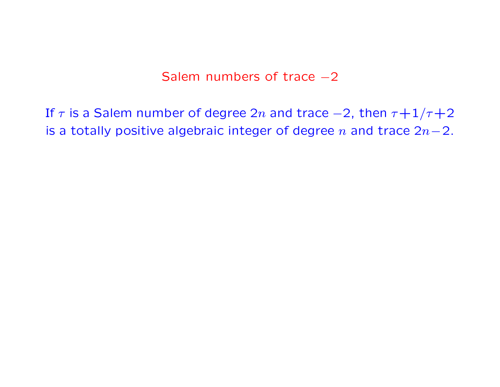If  $\tau$  is a Salem number of degree 2n and trace  $-2$ , then  $\tau+1/\tau+2$ is a totally positive algebraic integer of degree n and trace  $2n-2$ .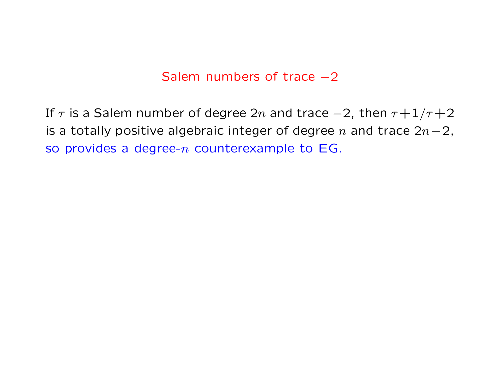If  $\tau$  is a Salem number of degree 2n and trace  $-2$ , then  $\tau+1/\tau+2$ is a totally positive algebraic integer of degree n and trace  $2n-2$ , so provides a degree- $n$  counterexample to EG.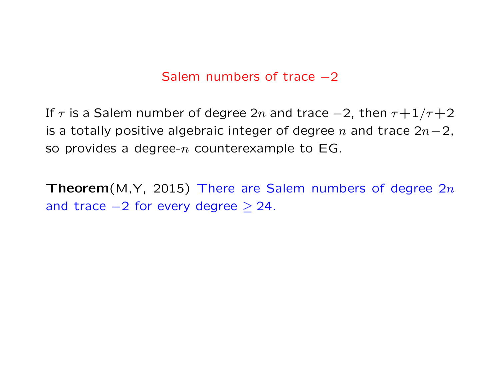If  $\tau$  is a Salem number of degree 2n and trace  $-2$ , then  $\tau+1/\tau+2$ is a totally positive algebraic integer of degree n and trace  $2n-2$ , so provides a degree- $n$  counterexample to EG.

**Theorem**(M,Y, 2015) There are Salem numbers of degree  $2n$ and trace  $-2$  for every degree  $> 24$ .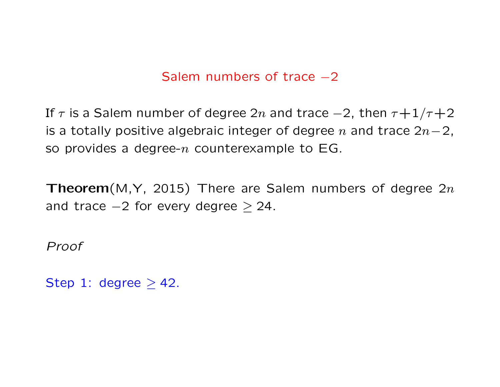If  $\tau$  is a Salem number of degree 2n and trace  $-2$ , then  $\tau+1/\tau+2$ is a totally positive algebraic integer of degree n and trace  $2n-2$ , so provides a degree- $n$  counterexample to EG.

**Theorem**(M,Y, 2015) There are Salem numbers of degree  $2n$ and trace  $-2$  for every degree  $> 24$ .

Proof

Step 1: degree  $\geq$  42.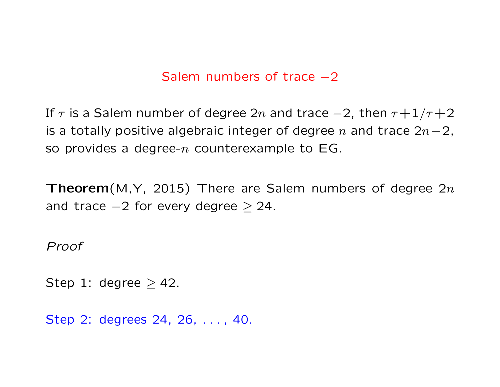If  $\tau$  is a Salem number of degree 2n and trace  $-2$ , then  $\tau+1/\tau+2$ is a totally positive algebraic integer of degree n and trace  $2n-2$ , so provides a degree- $n$  counterexample to EG.

**Theorem**(M,Y, 2015) There are Salem numbers of degree  $2n$ and trace  $-2$  for every degree  $> 24$ .

Proof

Step 1: degree  $\geq$  42.

Step 2: degrees 24, 26, ..., 40.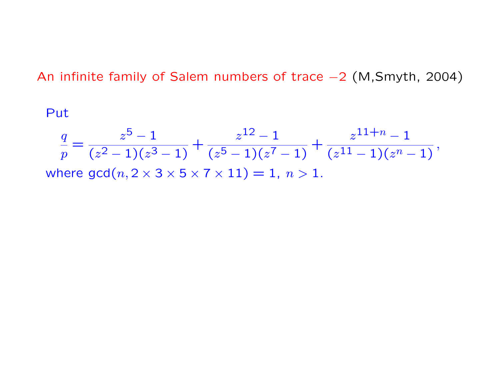An infinite family of Salem numbers of trace −2 (M,Smyth, 2004)

Put

$$
\frac{q}{p} = \frac{z^5 - 1}{(z^2 - 1)(z^3 - 1)} + \frac{z^{12} - 1}{(z^5 - 1)(z^7 - 1)} + \frac{z^{11 + n} - 1}{(z^{11} - 1)(z^n - 1)},
$$
  
where  $gcd(n, 2 \times 3 \times 5 \times 7 \times 11) = 1, n > 1$ .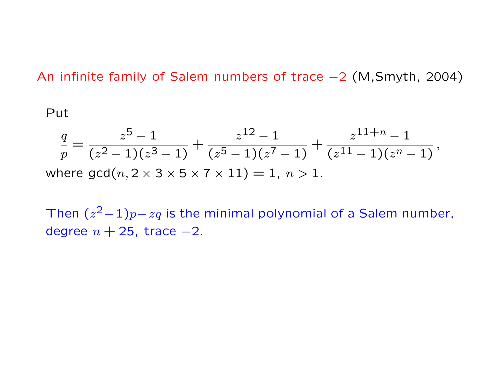# An infinite family of Salem numbers of trace −2 (M,Smyth, 2004)

Put

$$
\frac{q}{p} = \frac{z^5 - 1}{(z^2 - 1)(z^3 - 1)} + \frac{z^{12} - 1}{(z^5 - 1)(z^7 - 1)} + \frac{z^{11 + n} - 1}{(z^{11} - 1)(z^n - 1)},
$$
  
where  $gcd(n, 2 \times 3 \times 5 \times 7 \times 11) = 1, n > 1$ .

Then  $(z^2-1)p-zq$  is the minimal polynomial of a Salem number, degree  $n + 25$ , trace  $-2$ .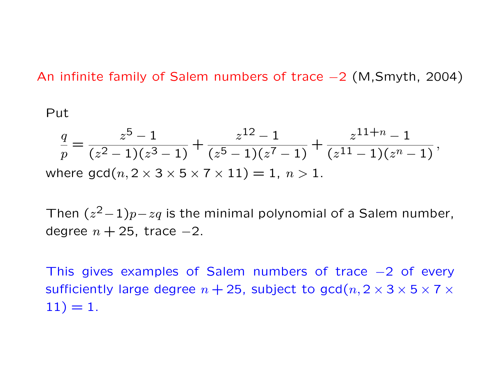## An infinite family of Salem numbers of trace −2 (M,Smyth, 2004)

Put

$$
\frac{q}{p} = \frac{z^5 - 1}{(z^2 - 1)(z^3 - 1)} + \frac{z^{12} - 1}{(z^5 - 1)(z^7 - 1)} + \frac{z^{11 + n} - 1}{(z^{11} - 1)(z^n - 1)},
$$
  
where  $gcd(n, 2 \times 3 \times 5 \times 7 \times 11) = 1, n > 1$ .

Then  $(z^2-1)p-zq$  is the minimal polynomial of a Salem number, degree  $n + 25$ , trace  $-2$ .

This gives examples of Salem numbers of trace −2 of every sufficiently large degree  $n + 25$ , subject to gcd $(n, 2 \times 3 \times 5 \times 7 \times$  $11) = 1.$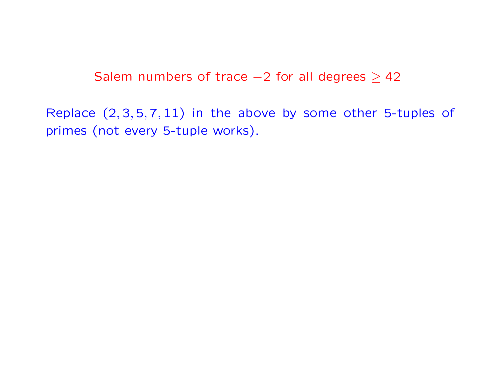Salem numbers of trace  $-2$  for all degrees  $\geq 42$ 

Replace (2, 3, 5, 7, 11) in the above by some other 5-tuples of primes (not every 5-tuple works).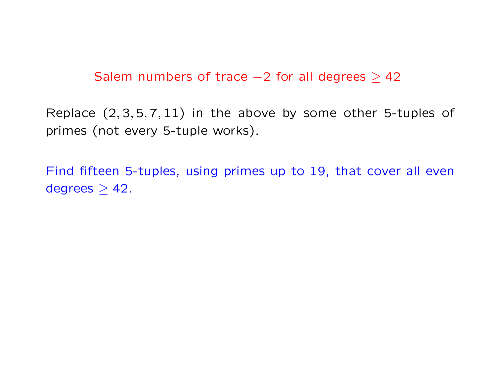Salem numbers of trace -2 for all degrees ≥ 42

Replace  $(2, 3, 5, 7, 11)$  in the above by some other 5-tuples of primes (not every 5-tuple works).

Find fifteen 5-tuples, using primes up to 19, that cover all even degrees  $\geq$  42.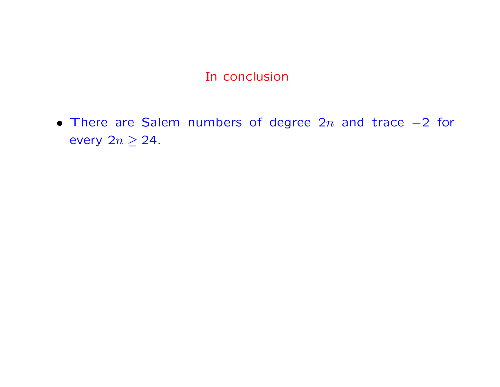• There are Salem numbers of degree  $2n$  and trace  $-2$  for every  $2n \ge 24$ .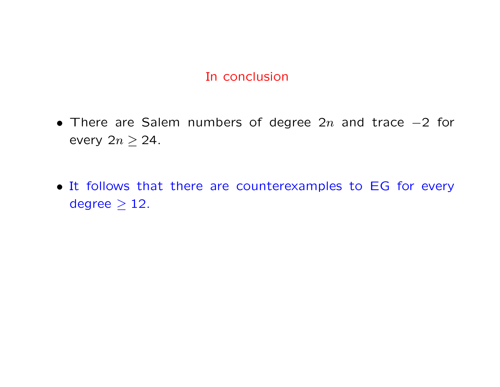- There are Salem numbers of degree  $2n$  and trace  $-2$  for every  $2n \geq 24$ .
- It follows that there are counterexamples to EG for every degree  $\geq 12$ .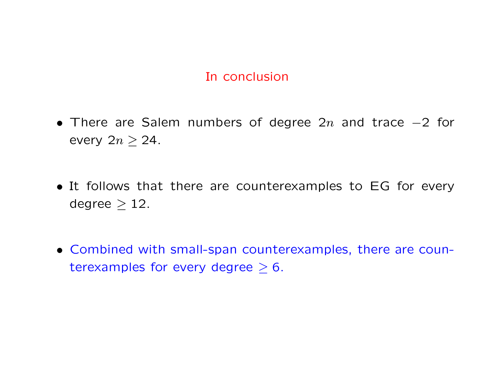- There are Salem numbers of degree  $2n$  and trace  $-2$  for every  $2n \geq 24$ .
- It follows that there are counterexamples to EG for every degree  $\geq 12$ .
- Combined with small-span counterexamples, there are counterexamples for every degree  $\geq 6$ .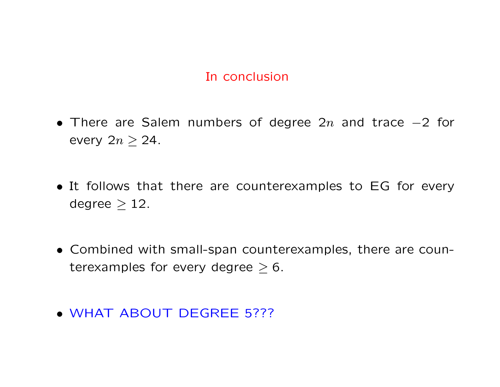- There are Salem numbers of degree  $2n$  and trace  $-2$  for every  $2n \geq 24$ .
- It follows that there are counterexamples to EG for every degree  $\geq 12$ .
- Combined with small-span counterexamples, there are counterexamples for every degree  $\geq 6$ .
- WHAT ABOUT DEGREE 5???